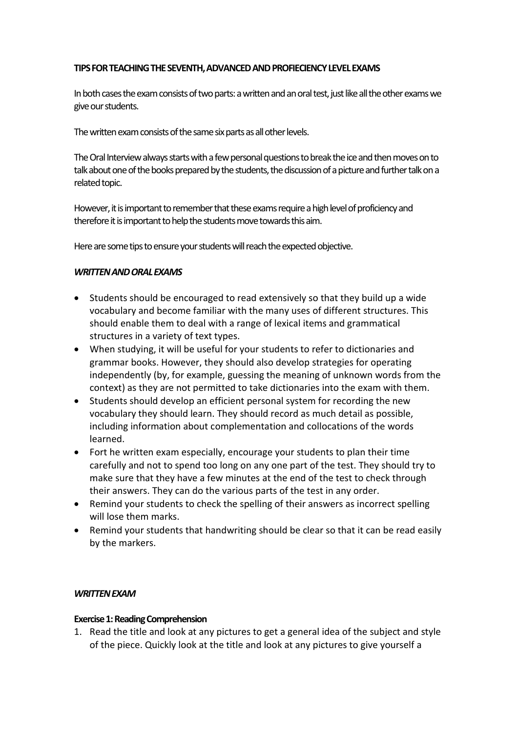### **TIPSFORTEACHINGTHESEVENTH,ADVANCEDANDPROFIECIENCYLEVELEXAMS**

In both cases the exam consists of two parts: a written and an oral test, just like all the other exams we give our students.

The written exam consists of the same six parts as all other levels.

The Oral Interview always starts with a few personal questions to break the ice and then moves on to talk about one of the books prepared by the students, the discussion of a picture and further talk on a related topic.

However, it is important to remember that these exams require a high level of proficiency and therefore it is important to help the students move towards this aim.

Here are some tips to ensure your students will reach the expected objective.

### *WRITTENANDORALEXAMS*

- Students should be encouraged to read extensively so that they build up a wide vocabulary and become familiar with the many uses of different structures. This should enable them to deal with a range of lexical items and grammatical structures in a variety of text types.
- When studying, it will be useful for your students to refer to dictionaries and grammar books. However, they should also develop strategies for operating independently (by, for example, guessing the meaning of unknown words from the context) as they are not permitted to take dictionaries into the exam with them.
- Students should develop an efficient personal system for recording the new vocabulary they should learn. They should record as much detail as possible, including information about complementation and collocations of the words learned.
- Fort he written exam especially, encourage your students to plan their time carefully and not to spend too long on any one part of the test. They should try to make sure that they have a few minutes at the end of the test to check through their answers. They can do the various parts of the test in any order.
- Remind your students to check the spelling of their answers as incorrect spelling will lose them marks.
- Remind your students that handwriting should be clear so that it can be read easily by the markers.

### *WRITTENEXAM*

#### **Exercise 1: Reading Comprehension**

1. Read the title and look at any pictures to get a general idea of the subject and style of the piece. Quickly look at the title and look at any pictures to give yourself a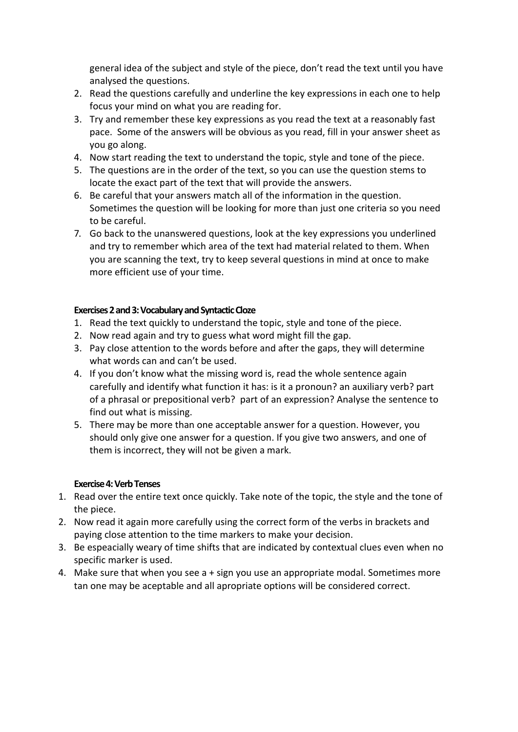general idea of the subject and style of the piece, don't read the text until you have analysed the questions.

- 2. Read the questions carefully and underline the key expressions in each one to help focus your mind on what you are reading for.
- 3. Try and remember these key expressions as you read the text at a reasonably fast pace. Some of the answers will be obvious as you read, fill in your answer sheet as you go along.
- 4. Now start reading the text to understand the topic, style and tone of the piece.
- 5. The questions are in the order of the text, so you can use the question stems to locate the exact part of the text that will provide the answers.
- 6. Be careful that your answers match all of the information in the question. Sometimes the question will be looking for more than just one criteria so you need to be careful.
- 7. Go back to the unanswered questions, look at the key expressions you underlined and try to remember which area of the text had material related to them. When you are scanning the text, try to keep several questions in mind at once to make more efficient use of your time.

# Exercises 2 and 3: Vocabulary and Syntactic Cloze

- 1. Read the text quickly to understand the topic, style and tone of the piece.
- 2. Now read again and try to guess what word might fill the gap.
- 3. Pay close attention to the words before and after the gaps, they will determine what words can and can't be used.
- 4. If you don't know what the missing word is, read the whole sentence again carefully and identify what function it has: is it a pronoun? an auxiliary verb? part of a phrasal or prepositional verb? part of an expression? Analyse the sentence to find out what is missing.
- 5. There may be more than one acceptable answer for a question. However, you should only give one answer for a question. If you give two answers, and one of them is incorrect, they will not be given a mark.

### **Exercise4:VerbTenses**

- 1. Read over the entire text once quickly. Take note of the topic, the style and the tone of the piece.
- 2. Now read it again more carefully using the correct form of the verbs in brackets and paying close attention to the time markers to make your decision.
- 3. Be espeacially weary of time shifts that are indicated by contextual clues even when no specific marker is used.
- 4. Make sure that when you see a + sign you use an appropriate modal. Sometimes more tan one may be aceptable and all apropriate options will be considered correct.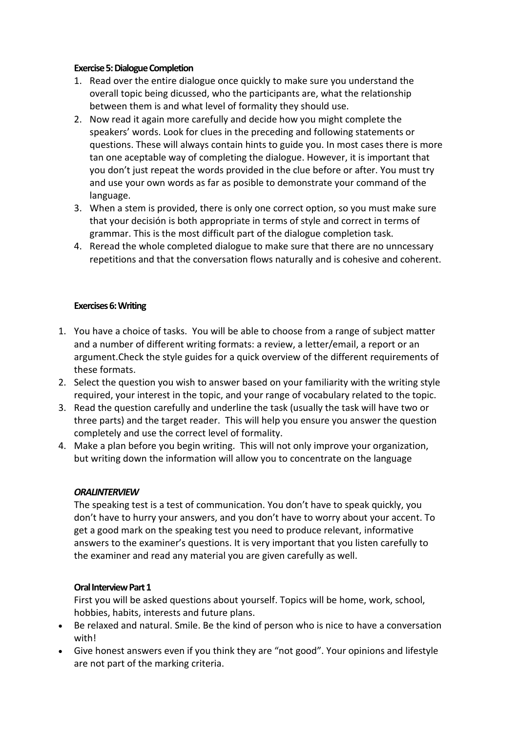#### **Exercise 5: Dialogue Completion**

- 1. Read over the entire dialogue once quickly to make sure you understand the overall topic being dicussed, who the participants are, what the relationship between them is and what level of formality they should use.
- 2. Now read it again more carefully and decide how you might complete the speakers' words. Look for clues in the preceding and following statements or questions. These will always contain hints to guide you. In most cases there is more tan one aceptable way of completing the dialogue. However, it is important that you don't just repeat the words provided in the clue before or after. You must try and use your own words as far as posible to demonstrate your command of the language.
- 3. When a stem is provided, there is only one correct option, so you must make sure that your decisión is both appropriate in terms of style and correct in terms of grammar. This is the most difficult part of the dialogue completion task.
- 4. Reread the whole completed dialogue to make sure that there are no unncessary repetitions and that the conversation flows naturally and is cohesive and coherent.

### **Exercises 6: Writing**

- 1. You have a choice of tasks. You will be able to choose from a range of subject matter and a number of different writing formats: a review, a letter/email, a report or an argument.Check the style guides for a quick overview of the different [requirements](http://benteachesenglish.com/category/better-english-blog/writing/cae-style-guides/) of these [formats.](http://benteachesenglish.com/category/better-english-blog/writing/cae-style-guides/)
- 2. Select the question you wish to answer based on your familiarity with the writing style required, your interest in the topic, and your range of vocabulary related to the topic.
- 3. Read the question carefully and underline the task (usually the task will have two or three parts) and the target reader. This will help you ensure you answer the question completely and use the correct level of formality.
- 4. Make a plan before you begin writing. This will not only improve your organization, but writing down the information will allow you to concentrate on the language

### *ORALINTERVIEW*

The speaking test is a test of communication. You don't have to speak quickly, you don't have to hurry your answers, and you don't have to worry about your accent. To get a good mark on the speaking test you need to produce relevant, informative answers to the examiner's questions. It is very important that you listen carefully to the examiner and read any material you are given carefully as well.

### **Oral Interview Part 1**

First you will be asked questions about yourself. Topics will be home, work, school, hobbies, habits, interests and future plans.

- Be relaxed and natural. Smile. Be the kind of person who is nice to have a conversation with!
- Give honest answers even if you think they are "not good". Your opinions and lifestyle are not part of the marking criteria.